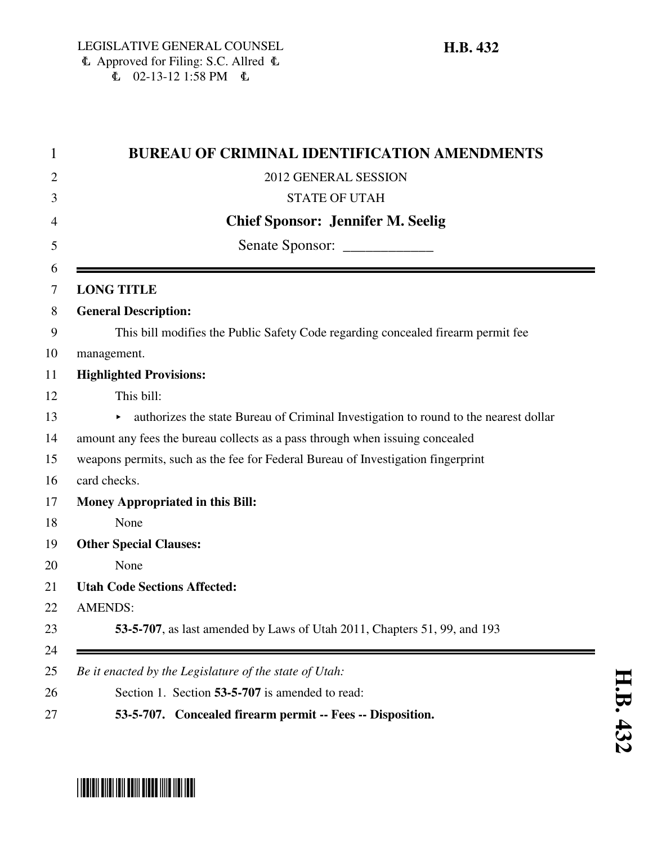| This bill modifies the Public Safety Code regarding concealed firearm permit fee     |
|--------------------------------------------------------------------------------------|
|                                                                                      |
|                                                                                      |
|                                                                                      |
| authorizes the state Bureau of Criminal Investigation to round to the nearest dollar |
|                                                                                      |
|                                                                                      |
|                                                                                      |
|                                                                                      |
|                                                                                      |
|                                                                                      |
|                                                                                      |
|                                                                                      |
|                                                                                      |
|                                                                                      |
|                                                                                      |

## \*HB0432\*